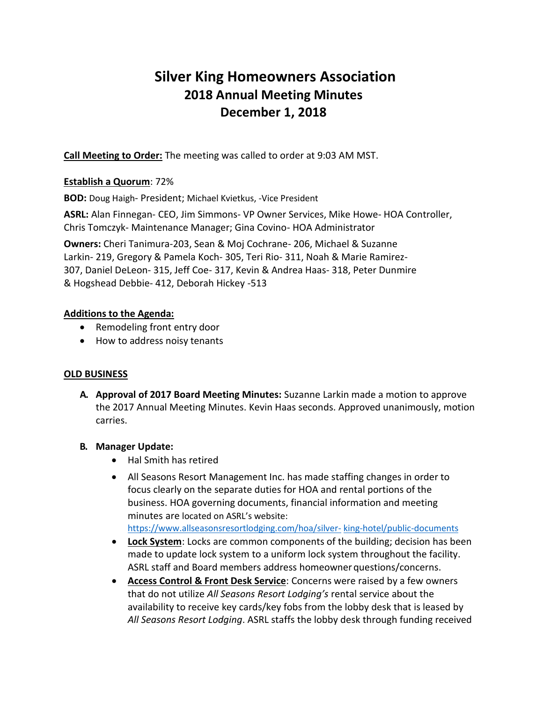# **Silver King Homeowners Association 2018 Annual Meeting Minutes December 1, 2018**

**Call Meeting to Order:** The meeting was called to order at 9:03 AM MST.

### **Establish a Quorum**: 72%

**BOD:** Doug Haigh- President; Michael Kvietkus, -Vice President

**ASRL:** Alan Finnegan- CEO, Jim Simmons- VP Owner Services, Mike Howe- HOA Controller, Chris Tomczyk- Maintenance Manager; Gina Covino- HOA Administrator

**Owners:** Cheri Tanimura-203, Sean & Moj Cochrane- 206, Michael & Suzanne Larkin- 219, Gregory & Pamela Koch- 305, Teri Rio- 311, Noah & Marie Ramirez-307, Daniel DeLeon- 315, Jeff Coe- 317, Kevin & Andrea Haas- 318, Peter Dunmire & Hogshead Debbie- 412, Deborah Hickey -513

## **Additions to the Agenda:**

- Remodeling front entry door
- How to address noisy tenants

#### **OLD BUSINESS**

**A. Approval of 2017 Board Meeting Minutes:** Suzanne Larkin made a motion to approve the 2017 Annual Meeting Minutes. Kevin Haas seconds. Approved unanimously, motion carries.

# **B. Manager Update:**

- Hal Smith has retired
- All Seasons Resort Management Inc. has made staffing changes in order to focus clearly on the separate duties for HOA and rental portions of the business. HOA governing documents, financial information and meeting minutes are located on ASRL's website: [https://www.allseasonsresortlodging.com/hoa/silver-](https://www.allseasonsresortlodging.com/hoa/silver-king-hotel/public-documents) [king-hotel/public-documents](https://www.allseasonsresortlodging.com/hoa/silver-king-hotel/public-documents)
- **Lock System**: Locks are common components of the building; decision has been made to update lock system to a uniform lock system throughout the facility. ASRL staff and Board members address homeowner questions/concerns.
- **Access Control & Front Desk Service**: Concerns were raised by a few owners that do not utilize *All Seasons Resort Lodging's* rental service about the availability to receive key cards/key fobs from the lobby desk that is leased by *All Seasons Resort Lodging*. ASRL staffs the lobby desk through funding received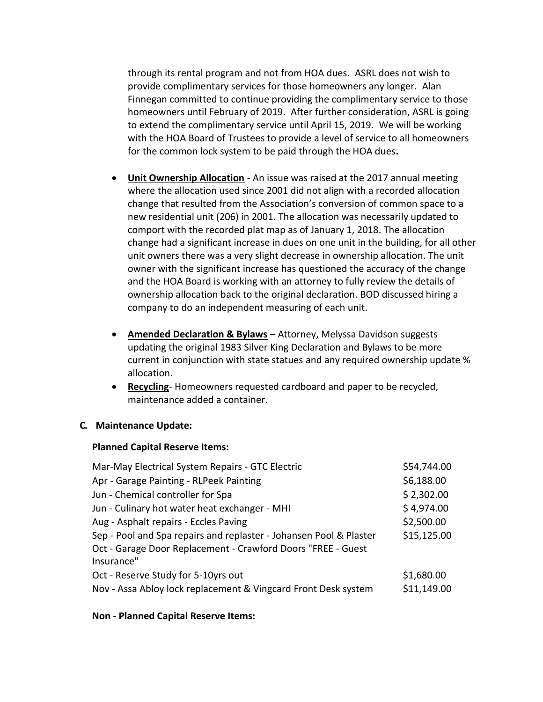through its rental program and not from HOA dues. ASRL does not wish to provide complimentary services for those homeowners any longer. Alan Finnegan committed to continue providing the complimentary service to those homeowners until February of 2019. After further consideration, ASRL is going to extend the complimentary service until April 15, 2019. We will be working with the HOA Board of Trustees to provide a level of service to all homeowners for the common lock system to be paid through the HOA dues**.**

- **Unit Ownership Allocation** An issue was raised at the 2017 annual meeting where the allocation used since 2001 did not align with a recorded allocation change that resulted from the Association's conversion of common space to a new residential unit (206) in 2001. The allocation was necessarily updated to comport with the recorded plat map as of January 1, 2018. The allocation change had a significant increase in dues on one unit in the building, for all other unit owners there was a very slight decrease in ownership allocation. The unit owner with the significant increase has questioned the accuracy of the change and the HOA Board is working with an attorney to fully review the details of ownership allocation back to the original declaration. BOD discussed hiring a company to do an independent measuring of each unit.
- **Amended Declaration & Bylaws** Attorney, Melyssa Davidson suggests updating the original 1983 Silver King Declaration and Bylaws to be more current in conjunction with state statues and any required ownership update % allocation.
- **Recycling** Homeowners requested cardboard and paper to be recycled, maintenance added a container.

#### **C. Maintenance Update:**

#### **Planned Capital Reserve Items:**

| Mar-May Electrical System Repairs - GTC Electric                   | \$54,744.00 |
|--------------------------------------------------------------------|-------------|
| Apr - Garage Painting - RLPeek Painting                            | \$6,188.00  |
| Jun - Chemical controller for Spa                                  | \$2,302.00  |
| Jun - Culinary hot water heat exchanger - MHI                      | \$4,974.00  |
| Aug - Asphalt repairs - Eccles Paving                              | \$2,500.00  |
| Sep - Pool and Spa repairs and replaster - Johansen Pool & Plaster | \$15,125.00 |
| Oct - Garage Door Replacement - Crawford Doors "FREE - Guest       |             |
| Insurance"                                                         |             |
| Oct - Reserve Study for 5-10yrs out                                | \$1,680.00  |
| Nov - Assa Abloy lock replacement & Vingcard Front Desk system     | \$11,149.00 |

#### **Non - Planned Capital Reserve Items:**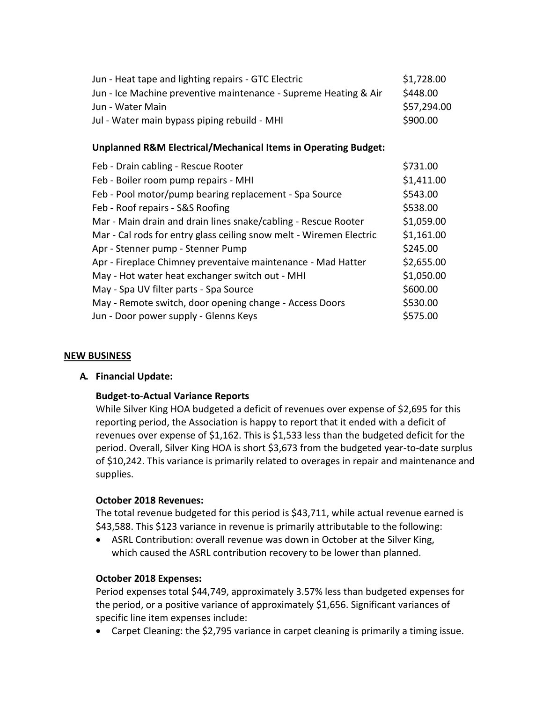| Jun - Heat tape and lighting repairs - GTC Electric              | \$1,728.00  |
|------------------------------------------------------------------|-------------|
| Jun - Ice Machine preventive maintenance - Supreme Heating & Air | \$448.00    |
| Jun - Water Main                                                 | \$57,294.00 |
| Jul - Water main bypass piping rebuild - MHI                     | \$900.00    |

#### **Unplanned R&M Electrical/Mechanical Items in Operating Budget:**

| Feb - Drain cabling - Rescue Rooter                                 | \$731.00   |
|---------------------------------------------------------------------|------------|
| Feb - Boiler room pump repairs - MHI                                | \$1,411.00 |
| Feb - Pool motor/pump bearing replacement - Spa Source              | \$543.00   |
| Feb - Roof repairs - S&S Roofing                                    | \$538.00   |
| Mar - Main drain and drain lines snake/cabling - Rescue Rooter      | \$1,059.00 |
| Mar - Cal rods for entry glass ceiling snow melt - Wiremen Electric | \$1,161.00 |
| Apr - Stenner pump - Stenner Pump                                   | \$245.00   |
| Apr - Fireplace Chimney preventaive maintenance - Mad Hatter        | \$2,655.00 |
| May - Hot water heat exchanger switch out - MHI                     | \$1,050.00 |
| May - Spa UV filter parts - Spa Source                              | \$600.00   |
| May - Remote switch, door opening change - Access Doors             | \$530.00   |
| Jun - Door power supply - Glenns Keys                               | \$575.00   |

#### **NEW BUSINESS**

#### **A. Financial Update:**

#### **Budget**-**to**-**Actual Variance Reports**

While Silver King HOA budgeted a deficit of revenues over expense of \$2,695 for this reporting period, the Association is happy to report that it ended with a deficit of revenues over expense of \$1,162. This is \$1,533 less than the budgeted deficit for the period. Overall, Silver King HOA is short \$3,673 from the budgeted year-to-date surplus of \$10,242. This variance is primarily related to overages in repair and maintenance and supplies.

#### **October 2018 Revenues:**

The total revenue budgeted for this period is \$43,711, while actual revenue earned is \$43,588. This \$123 variance in revenue is primarily attributable to the following:

 ASRL Contribution: overall revenue was down in October at the Silver King, which caused the ASRL contribution recovery to be lower than planned.

#### **October 2018 Expenses:**

Period expenses total \$44,749, approximately 3.57% less than budgeted expenses for the period, or a positive variance of approximately \$1,656. Significant variances of specific line item expenses include:

Carpet Cleaning: the \$2,795 variance in carpet cleaning is primarily a timing issue.